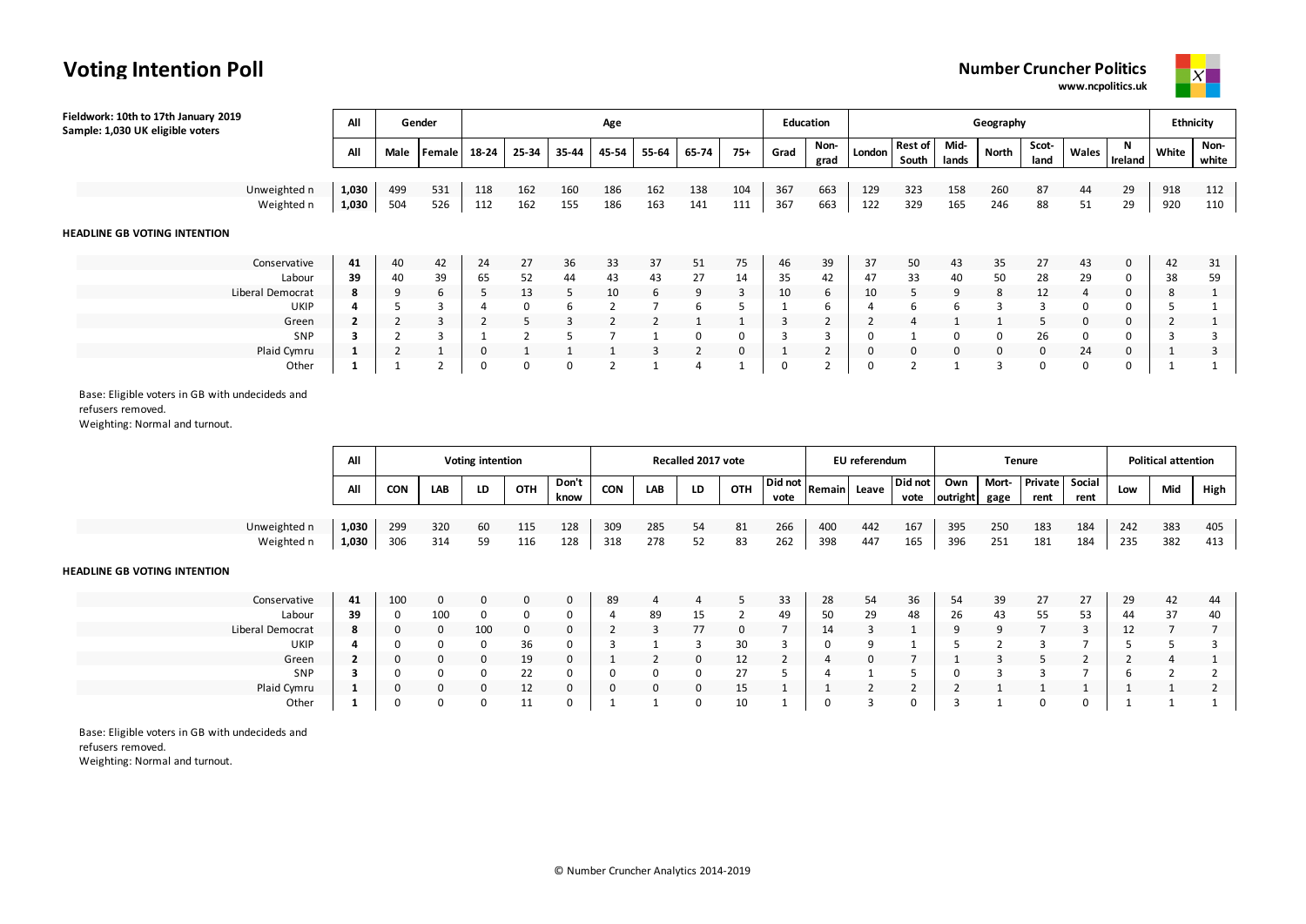### **Voting Intention Poll**

**Number Cruncher Politics www.ncpolitics.uk**



| Fieldwork: 10th to 17th January 2019<br>Sample: 1,030 UK eligible voters | All            |      | Gender | Age   |       |       |       |       |       |          |             | <b>Education</b> |          |                         | Ethnicity     |                |               |             |              |       |               |
|--------------------------------------------------------------------------|----------------|------|--------|-------|-------|-------|-------|-------|-------|----------|-------------|------------------|----------|-------------------------|---------------|----------------|---------------|-------------|--------------|-------|---------------|
|                                                                          | All            | Male | Female | 18-24 | 25-34 | 35-44 | 45-54 | 55-64 | 65-74 | $75+$    | Grad        | Non-<br>grad     | London   | <b>Rest of</b><br>South | Mid-<br>lands | North          | Scot-<br>land | Wales       | N<br>Ireland | White | Non-<br>white |
|                                                                          |                |      |        |       |       |       |       |       |       |          |             |                  |          |                         |               |                |               |             |              |       |               |
| Unweighted n                                                             | 1,030          | 499  | 531    | 118   | 162   | 160   | 186   | 162   | 138   | 104      | 367         | 663              | 129      | 323                     | 158           | 260            | 87            | 44          | 29           | 918   | 112           |
| Weighted n                                                               | 1,030          | 504  | 526    | 112   | 162   | 155   | 186   | 163   | 141   | 111      | 367         | 663              | 122      | 329                     | 165           | 246            | 88            | 51          | 29           | 920   | 110           |
| <b>HEADLINE GB VOTING INTENTION</b>                                      |                |      |        |       |       |       |       |       |       |          |             |                  |          |                         |               |                |               |             |              |       |               |
| Conservative                                                             | 41             | 40   | 42     | 24    | 27    | 36    | 33    | 37    | 51    | 75       | 46          | 39               | 37       | 50                      | 43            | 35             | 27            | 43          | $\mathbf 0$  | 42    | 31            |
| Labour                                                                   | 39             | 40   | 39     | 65    | 52    | 44    | 43    | 43    | 27    | 14       | 35          | 42               | 47       | 33                      | 40            | 50             | 28            | 29          | 0            | 38    | 59            |
| Liberal Democrat                                                         | 8              | 9    | 6      |       | 13    | 5     | 10    | 6     | 9     | 3        | 10          | 6                | 10       | 5                       | 9             | 8              | 12            | 4           | 0            | 8     |               |
| <b>UKIP</b>                                                              | 4              |      |        |       | 0     | 6     |       |       | 6     |          |             | 6                |          | 6                       | 6             | 3              | 3             | 0           | 0            |       |               |
| Green                                                                    | $\overline{2}$ | L    |        |       | 5     |       |       |       |       |          |             |                  |          | 4                       |               |                | 5             | $\mathbf 0$ | 0            |       |               |
| SNP                                                                      | з              |      |        |       |       |       |       |       | 0     | $\Omega$ |             |                  | $\Omega$ |                         | 0             | 0              | 26            | 0           | 0            |       | 3             |
| Plaid Cymru                                                              | $\mathbf{1}$   |      |        | 0     |       |       |       |       | 2     | 0        |             |                  | 0        | 0                       | 0             | $\overline{0}$ | 0             | 24          | 0            |       | 3             |
| Other                                                                    |                |      |        | 0     | 0     | 0     |       |       | 4     |          | $\mathbf 0$ |                  | 0        | 2                       |               | 3              | 0             | 0           | 0            |       |               |

Base: Eligible voters in GB with undecideds and

refusers removed.

Weighting: Normal and turnout.

|              | All   | <b>Voting intention</b> |     |    |     |               |            |     | Recalled 2017 vote |     |                                                           |     | EU referendum |                 |                 |               | <b>Tenure</b>          |                | <b>Political attention</b> |     |      |  |
|--------------|-------|-------------------------|-----|----|-----|---------------|------------|-----|--------------------|-----|-----------------------------------------------------------|-----|---------------|-----------------|-----------------|---------------|------------------------|----------------|----------------------------|-----|------|--|
|              | Αll   | CON                     | LAB | LD | ОТН | Don't<br>know | <b>CON</b> | LAB | LD                 | OTH | $\vert$ Did not $\vert_{\text{Remain}\vert}$ Lee.<br>vote |     | Leave         | Did not<br>vote | Own<br>outright | Mort-<br>gage | <b>Private</b><br>rent | Social<br>rent | Low                        | Mid | High |  |
|              |       |                         |     |    |     |               |            |     |                    |     |                                                           |     |               |                 |                 |               |                        |                |                            |     |      |  |
| Unweighted n | 1.030 | 299                     | 320 | 60 | 115 | 128           | 309        | 285 | 54                 | 81  | 266                                                       | 400 | 442           | 167             | 395             | 250           | 183                    | 184            | 242                        | 383 | 405  |  |
| Weighted n   | 1,030 | 306                     | 314 |    | 116 | 128           | 318        | 278 | 52                 | 83  | 262                                                       | 398 | 447           | 165             | 396             | 251           | 181                    | 184            | 235                        | 382 | 413  |  |

#### **HEADLINE GB VOTING INTENTION**

| Conservative     | 41 | 100 | 0        |                 |              | $\Omega$     | 89 |    |         |    | 33 | 28       | 54<br>J | 36 | 54 | 39 | 27<br>، ے |          | 29 | 42 | 44 |
|------------------|----|-----|----------|-----------------|--------------|--------------|----|----|---------|----|----|----------|---------|----|----|----|-----------|----------|----|----|----|
| Labour           | 39 | 0   | 100      |                 |              | 0            |    | 89 | <b></b> |    | 49 | 50<br>Ju | 29      | 48 | zb | 43 | 55        | ヒっ<br>-- | 44 | 37 | 40 |
| Liberal Democrat | 8  |     | $\Omega$ | 10 <sub>C</sub> | <sup>0</sup> | $\Omega$     |    |    |         | o  |    | Ŧ        |         |    |    |    |           |          | ᆠ  |    |    |
| UKIP             |    |     |          |                 | $\sim$<br>Ju | <sup>0</sup> |    |    |         | 20 |    |          |         |    |    |    |           |          |    |    |    |
| Green            |    |     |          | 0               | 19           | o            |    |    |         | ᅩ  |    |          |         |    |    |    |           |          |    |    |    |
| SNP              |    |     |          |                 | ᅩ            | 0            |    |    |         |    |    |          |         |    |    |    |           |          |    |    |    |
| Plaid Cymru      |    |     |          | $\left($        | ᅭ            | $\Omega$     |    | o  |         | -- |    |          |         |    |    |    |           |          |    |    |    |
| Other            |    |     |          |                 | . .          | $\mathbf{0}$ |    |    |         | 10 |    |          |         |    |    |    |           |          |    |    |    |

Base: Eligible voters in GB with undecideds and refusers removed.

Weighting: Normal and turnout.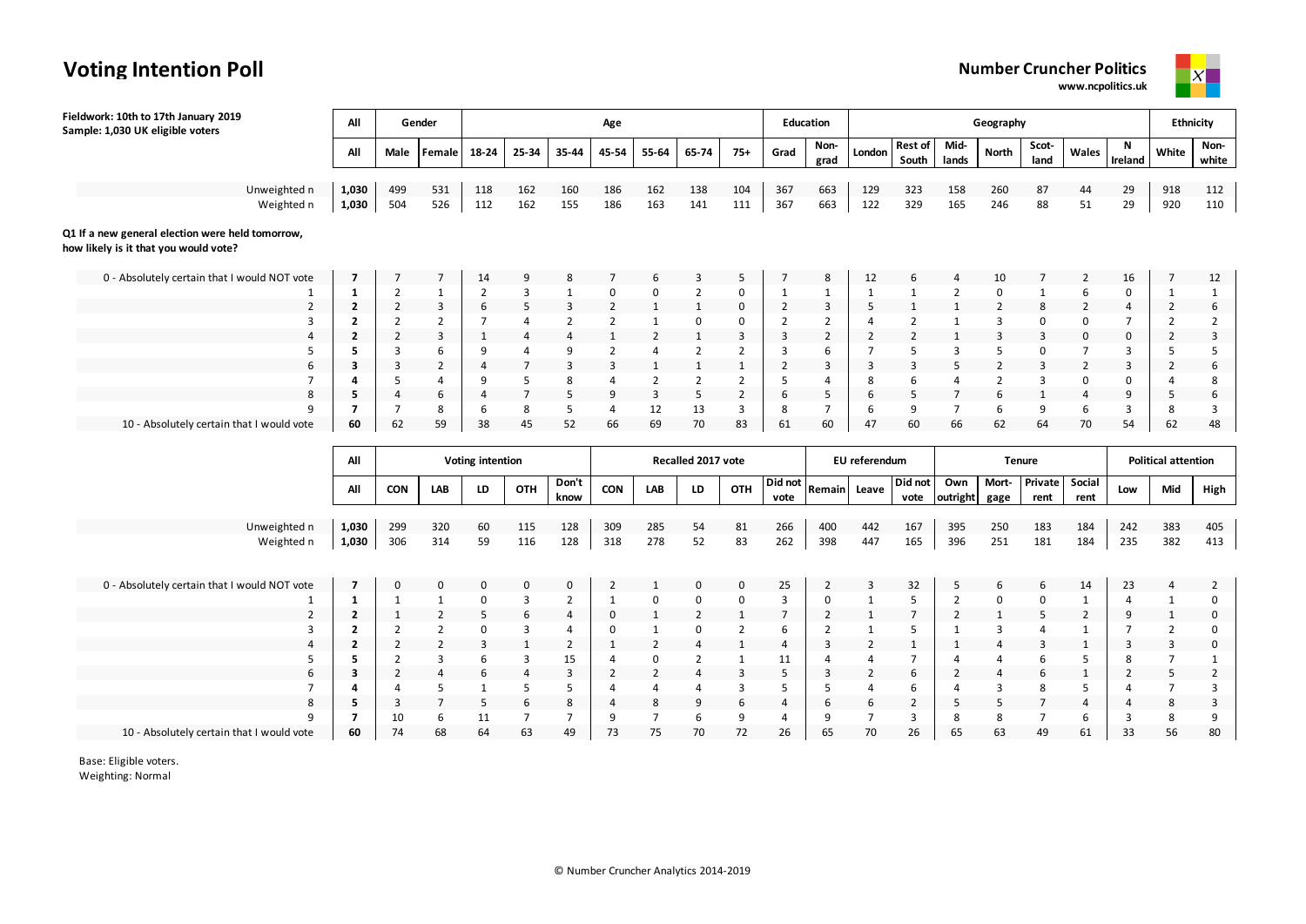#### **Number Cruncher Politics**

**www.ncpolitics.uk**



| Fieldwork: 10th to 17th January 2019<br>Sample: 1,030 UK eligible voters                  | All                     |                                  | Gender                           |                  |                     |                | Age                              |                                  |                                  |                                |                     | Education      |                     |                         |                     | Geography           |                               |                               |                                  | <b>Ethnicity</b>                 |                                |
|-------------------------------------------------------------------------------------------|-------------------------|----------------------------------|----------------------------------|------------------|---------------------|----------------|----------------------------------|----------------------------------|----------------------------------|--------------------------------|---------------------|----------------|---------------------|-------------------------|---------------------|---------------------|-------------------------------|-------------------------------|----------------------------------|----------------------------------|--------------------------------|
|                                                                                           | All                     | Male                             | Female                           | 18-24            | 25-34               | 35-44          | 45-54                            | 55-64                            | 65-74                            | $75+$                          | Grad                | Non-<br>grad   | London              | <b>Rest of</b><br>South | Mid-<br>lands       | North               | Scot-<br>land                 | Wales                         | N<br>Ireland                     | White                            | Non-<br>white                  |
| Unweighted n                                                                              | 1,030                   | 499                              | 531                              | 118              | 162                 | 160            | 186                              | 162                              | 138                              | 104                            | 367                 | 663            | 129                 | 323                     | 158                 | 260                 | 87                            | 44                            | 29                               | 918                              | 112                            |
| Weighted n                                                                                | 1,030                   | 504                              | 526                              | 112              | 162                 | 155            | 186                              | 163                              | 141                              | 111                            | 367                 | 663            | 122                 | 329                     | 165                 | 246                 | 88                            | 51                            | 29                               | 920                              | 110                            |
| Q1 If a new general election were held tomorrow,<br>how likely is it that you would vote? |                         |                                  |                                  |                  |                     |                |                                  |                                  |                                  |                                |                     |                |                     |                         |                     |                     |                               |                               |                                  |                                  |                                |
| 0 - Absolutely certain that I would NOT vote                                              | $\overline{7}$          |                                  |                                  | 14               |                     |                |                                  |                                  |                                  | 5                              |                     | 8              | 12                  | 6                       |                     | 10                  |                               | $\overline{2}$                | 16                               | 7                                | 12                             |
| 1                                                                                         | $\mathbf{1}$            | $\overline{2}$                   | $\mathbf{1}$                     | $\overline{2}$   | 3                   | 1              | $\Omega$                         | 0                                | $\overline{2}$                   | $\Omega$                       | $\mathbf{1}$        | $\mathbf{1}$   | $\mathbf{1}$        | $\mathbf{1}$            | $\overline{2}$      | 0                   | $\mathbf{1}$                  | 6                             | $\mathsf 0$                      | 1                                | $\mathbf{1}$                   |
| $\overline{2}$                                                                            | $\mathbf{2}$            | $\overline{2}$                   | 3                                | 6                | 5                   | 3              | $\overline{2}$                   | $\mathbf{1}$                     | $\mathbf{1}$                     | $\mathbf 0$                    | 2                   | 3              | 5                   | $\mathbf{1}$            | 1                   | $\overline{2}$      | 8                             | $\overline{2}$                | $\overline{4}$                   | $\overline{2}$                   | 6                              |
| 3                                                                                         | $\overline{2}$          | $\overline{2}$                   | $\overline{2}$                   | $\overline{7}$   | 4                   | $\overline{2}$ | $\overline{2}$                   | $\mathbf{1}$                     | 0                                | $\mathbf 0$                    | 2                   | $\overline{2}$ | $\overline{a}$      | $\overline{2}$          | $\mathbf{1}$        | 3                   | $\mathbf 0$                   | 0                             | 7                                | 2                                | $\overline{2}$                 |
| $\overline{4}$                                                                            | $\overline{2}$          | $\overline{2}$                   | $\overline{3}$                   | $\mathbf{1}$     | $\overline{4}$      | $\overline{4}$ | $\mathbf{1}$                     | $\overline{2}$                   | $\mathbf{1}$                     | $\overline{3}$                 | $\overline{3}$      | $\overline{2}$ | $\overline{2}$      | $\overline{2}$          | $\mathbf{1}$        | 3                   | $\overline{3}$                | 0                             | $\mathbf 0$                      | $\overline{2}$                   | $\overline{3}$                 |
| 6                                                                                         | 5                       | $\overline{3}$                   | 6                                | 9                | 4<br>$\overline{7}$ | 9              | $\overline{2}$<br>3              | $\overline{4}$                   | $\overline{2}$                   | $\overline{2}$<br>$\mathbf{1}$ | 3                   | 6              | $\overline{7}$      | 5<br>3                  | $\overline{3}$      | 5<br>$\overline{2}$ | $\mathbf 0$<br>$\overline{3}$ | $\overline{7}$                | 3<br>3                           | 5                                | 5<br>6                         |
| $\overline{7}$                                                                            | 3<br>4                  | 3<br>5                           | $\overline{2}$<br>$\overline{4}$ | 4<br>9           | 5                   | 3<br>8         | 4                                | $\mathbf{1}$<br>2                | $\mathbf{1}$<br>$\overline{2}$   | $\overline{2}$                 | $\overline{2}$<br>5 | 3<br>4         | 3<br>8              | 6                       | 5<br>4              | $\overline{2}$      | $\overline{3}$                | $\overline{2}$<br>$\mathbf 0$ | $\mathbf 0$                      | $\overline{2}$<br>$\overline{a}$ | 8                              |
| 8                                                                                         | 5                       | $\overline{4}$                   | 6                                | $\overline{4}$   | $\overline{7}$      | 5              | 9                                | 3                                | 5                                | $\overline{2}$                 | 6                   | 5              | 6                   | 5                       | $\overline{7}$      | 6                   | $\mathbf{1}$                  | $\overline{4}$                | 9                                | 5                                | 6                              |
| q                                                                                         | $\overline{7}$          | $\overline{7}$                   | 8                                | 6                | 8                   | 5              | 4                                | 12                               | 13                               | 3                              | 8                   | $\overline{7}$ | 6                   | 9                       | $\overline{7}$      | 6                   | 9                             | 6                             | $\overline{3}$                   | 8                                | 3                              |
| 10 - Absolutely certain that I would vote                                                 | 60                      | 62                               | 59                               | 38               | 45                  | 52             | 66                               | 69                               | 70                               | 83                             | 61                  | 60             | 47                  | 60                      | 66                  | 62                  | 64                            | 70                            | 54                               | 62                               | 48                             |
|                                                                                           |                         |                                  |                                  |                  |                     |                |                                  |                                  |                                  |                                |                     |                |                     |                         |                     |                     |                               |                               |                                  |                                  |                                |
|                                                                                           | All                     |                                  |                                  | Voting intention |                     |                |                                  |                                  | Recalled 2017 vote               |                                |                     |                | EU referendum       |                         |                     | <b>Tenure</b>       |                               |                               |                                  | <b>Political attention</b>       |                                |
|                                                                                           | All                     | CON                              | LAB                              | LD               | OTH                 | Don't<br>know  | CON                              | LAB                              | LD                               | OTH                            | Did not<br>vote     | Remain Leave   |                     | Did not<br>vote         | Own<br>outright     | Mort-<br>gage       | Private<br>rent               | Social<br>rent                | Low                              | Mid                              | High                           |
| Unweighted n                                                                              | 1,030                   | 299                              | 320                              | 60               | 115                 | 128            | 309                              | 285                              | 54                               | 81                             | 266                 | 400            | 442                 | 167                     | 395                 | 250                 | 183                           | 184                           | 242                              | 383                              | 405                            |
| Weighted n                                                                                | 1,030                   | 306                              | 314                              | 59               | 116                 | 128            | 318                              | 278                              | 52                               | 83                             | 262                 | 398            | 447                 | 165                     | 396                 | 251                 | 181                           | 184                           | 235                              | 382                              | 413                            |
|                                                                                           |                         |                                  |                                  |                  |                     |                |                                  |                                  |                                  |                                |                     |                |                     |                         |                     |                     |                               |                               |                                  |                                  |                                |
| 0 - Absolutely certain that I would NOT vote                                              | $\overline{7}$          | $\mathbf 0$                      | 0                                | $\Omega$         | $\Omega$            | $\mathbf 0$    | 2                                | 1                                | $\mathbf 0$                      | $\mathbf 0$                    | 25                  | $\overline{2}$ | 3                   | 32                      | 5                   | 6                   | 6                             | 14                            | 23                               | 4                                | $\overline{2}$                 |
| $\mathbf{1}$                                                                              | $\mathbf{1}$            | $\mathbf{1}$                     | $\mathbf{1}$                     | $\pmb{0}$        | 3                   | $\overline{2}$ | 1                                | 0                                | 0                                | $\pmb{0}$                      | 3                   | 0              | $\mathbf{1}$        | 5                       | $\overline{2}$      | 0                   | $\pmb{0}$                     | $\mathbf{1}$                  | $\overline{4}$                   | $\mathbf{1}$                     | $\mathbf 0$                    |
| $\overline{2}$                                                                            | $\overline{2}$          | $\mathbf{1}$                     | $\overline{2}$                   | 5                | 6                   | $\overline{4}$ | 0                                | $\mathbf{1}$                     | $\overline{2}$                   | $\mathbf{1}$                   | $\overline{7}$      | $\overline{2}$ | $\mathbf{1}$        | $\overline{7}$          | $\overline{2}$      | $\mathbf{1}$        | 5                             | $\overline{2}$                | 9                                | $\mathbf{1}$                     | $\mathbf 0$                    |
| 3                                                                                         | $\overline{2}$          | $\overline{2}$                   | $\overline{2}$                   | $\mathbf 0$      | 3                   | 4              | $\mathbf 0$                      | $\mathbf{1}$                     | 0                                | $\overline{2}$                 | 6                   | $\overline{2}$ | $\mathbf{1}$        | 5                       | $\mathbf{1}$        | $\overline{3}$      | $\overline{a}$                | $\mathbf{1}$                  | $\overline{7}$                   | $\overline{2}$                   | $\Omega$                       |
| $\overline{a}$                                                                            | $\overline{2}$          | $\overline{2}$                   | $\overline{2}$                   | 3                | 1                   | $\overline{2}$ | $\mathbf{1}$                     | $\overline{2}$                   | 4                                | $\mathbf{1}$                   | 4                   | 3              | $\overline{2}$      | $1\,$                   | $\mathbf{1}$        | 4                   | 3                             | $\mathbf{1}$                  | 3                                | 3                                | 0                              |
| 6                                                                                         | 5                       | $\overline{2}$                   | $\overline{3}$<br>$\overline{4}$ | 6                | 3                   | 15<br>3        | $\overline{a}$<br>$\overline{2}$ | 0                                | $\overline{2}$<br>$\overline{4}$ | $\mathbf{1}$                   | 11<br>5             | 4              | 4<br>$\overline{2}$ | $\overline{7}$<br>6     | $\overline{4}$      | 4<br>$\overline{4}$ | 6<br>6                        | 5                             | 8                                | $\overline{7}$                   | $\mathbf{1}$<br>$\overline{2}$ |
| $\overline{7}$                                                                            | 3<br>4                  | $\overline{2}$<br>$\overline{4}$ | 5                                | 6<br>1           | $\overline{4}$<br>5 | 5              | 4                                | $\overline{2}$<br>$\overline{a}$ | 4                                | 3<br>3                         | 5                   | 3<br>5         | 4                   | 6                       | $\overline{2}$<br>4 | 3                   | 8                             | $\mathbf{1}$<br>5             | $\overline{2}$<br>$\overline{a}$ | 5<br>$\overline{7}$              | $\overline{3}$                 |
| $\mathbf{8}$                                                                              | 5                       | 3                                | $\overline{7}$                   | 5                |                     | 8              | 4                                | 8                                | 9                                | 6                              | $\overline{4}$      | 6              | 6                   | $\overline{2}$          | 5                   | 5                   | $\overline{7}$                | 4                             | 4                                | 8                                | 3                              |
|                                                                                           | $\overline{\mathbf{z}}$ | 10                               | 6                                | 11               | $\overline{7}$      | $\overline{7}$ | 9                                | $\overline{7}$                   | 6                                | 9                              | 4                   | 9              | $\overline{7}$      | 3                       | 8                   | 8                   | $\overline{7}$                | 6                             | 3                                | 8                                | 9                              |
| 10 - Absolutely certain that I would vote                                                 | 60                      | 74                               | 68                               | 64               | 63                  | 49             | 73                               | 75                               | 70                               | 72                             | 26                  | 65             | 70                  | 26                      | 65                  | 63                  | 49                            | 61                            | 33                               | 56                               | 80                             |

Base: Eligible voters.

**Voting Intention Poll**

Weighting: Normal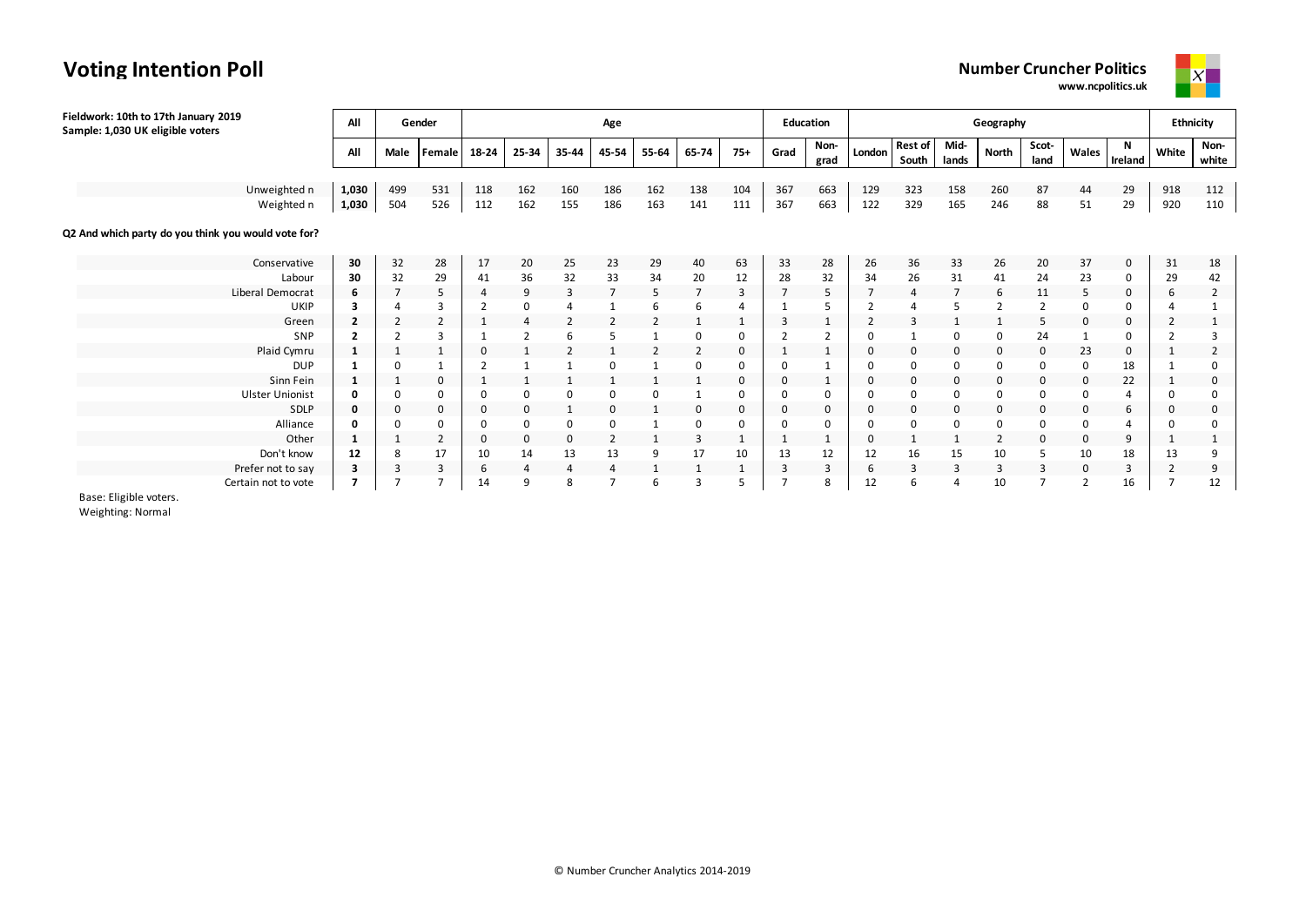# **Voting Intention Poll**



| Fieldwork: 10th to 17th January 2019<br>Sample: 1,030 UK eligible voters | All                     |                | Gender         |                |                |                | Age            |                |                |       |          | <b>Education</b> |              |                         |                | Geography      |                |             |              |          | <b>Ethnicity</b> |
|--------------------------------------------------------------------------|-------------------------|----------------|----------------|----------------|----------------|----------------|----------------|----------------|----------------|-------|----------|------------------|--------------|-------------------------|----------------|----------------|----------------|-------------|--------------|----------|------------------|
|                                                                          | All                     | Male           | Female         | 18-24          | 25-34          | 35-44          | 45-54          | 55-64          | 65-74          | $75+$ | Grad     | Non-<br>grad     | London       | <b>Rest of</b><br>South | Mid-<br>lands  | North          | Scot-<br>land  | Wales       | N<br>Ireland | White    | Non-<br>white    |
|                                                                          |                         |                |                |                |                |                |                |                |                |       |          |                  |              |                         |                |                |                |             |              |          |                  |
| Unweighted n                                                             | 1,030                   | 499            | 531            | 118            | 162            | 160            | 186            | 162            | 138            | 104   | 367      | 663              | 129          | 323                     | 158            | 260            | 87             | 44          | 29           | 918      | 112              |
| Weighted n                                                               | 1,030                   | 504            | 526            | 112            | 162            | 155            | 186            | 163            | 141            | 111   | 367      | 663              | 122          | 329                     | 165            | 246            | 88             | 51          | 29           | 920      | 110              |
| Q2 And which party do you think you would vote for?                      |                         |                |                |                |                |                |                |                |                |       |          |                  |              |                         |                |                |                |             |              |          |                  |
| Conservative                                                             | 30                      | 32             | 28             | 17             | 20             | 25             | 23             | 29             | 40             | 63    | 33       | 28               | 26           | 36                      | 33             | 26             | 20             | 37          | 0            | 31       | 18               |
| Labour                                                                   | 30                      | 32             | 29             | 41             | 36             | 32             | 33             | 34             | 20             | 12    | 28       | 32               | 34           | 26                      | 31             | 41             | 24             | 23          | $\Omega$     | 29       | 42               |
| Liberal Democrat                                                         | 6                       |                | 5              | $\overline{4}$ | 9              | 3              | $\overline{7}$ | 5              | $\overline{7}$ | 3     |          | 5                |              | 4                       | $\overline{7}$ | 6              | 11             | 5           | 0            | 6        | 2                |
| UKIP                                                                     | 3                       |                | 3              | $\overline{2}$ | 0              | 4              |                | 6              | 6              |       |          |                  |              |                         |                |                | $\overline{2}$ |             | $\Omega$     |          |                  |
| Green                                                                    | $\overline{\mathbf{2}}$ | $\overline{2}$ | $\overline{2}$ | 1              | $\overline{4}$ | $\overline{2}$ | 2              | $\overline{2}$ |                |       | 3        |                  | 2            | 3                       |                |                | -5             | 0           | 0            | 2        |                  |
| SNP                                                                      | $\overline{\mathbf{2}}$ |                | 3              |                | $\overline{2}$ | 6              | 5              |                | 0              | 0     |          |                  |              |                         | $\Omega$       |                | 24             |             | 0            |          |                  |
| Plaid Cymru                                                              | 1                       |                | $\mathbf{1}$   | 0              |                |                |                |                | $\overline{2}$ | 0     |          |                  | -0           | 0                       | 0              | 0              | 0              | 23          | 0            |          |                  |
| <b>DUP</b>                                                               |                         | $\Omega$       |                |                |                |                |                |                | $\Omega$       | 0     |          |                  |              | $\Omega$                | $\Omega$       |                |                | $\Omega$    | 18           |          | 0                |
| Sinn Fein                                                                | $\mathbf{1}$            | -1             | 0              |                |                |                |                |                |                | 0     | 0        |                  | 0            | 0                       | 0              | 0              | $\Omega$       | $\Omega$    | 22           |          | 0                |
| <b>Ulster Unionist</b>                                                   | 0                       | 0              | 0              | 0              |                |                | $\Omega$       | $\Omega$       |                | 0     | $\Omega$ | 0                | <sup>0</sup> | 0                       | $\Omega$       |                |                |             |              | 0        | 0                |
| <b>SDLP</b>                                                              | 0                       | 0              | 0              | 0              | 0              |                | 0              |                | 0              | 0     | 0        | 0                | 0            | $\mathbf 0$             | 0              | 0              | 0              | $\mathbf 0$ | 6            | $\Omega$ | $\mathbf 0$      |
| Alliance                                                                 | 0                       | $\Omega$       | 0              | 0              | 0              | 0              | 0              |                | $\mathbf 0$    | 0     | 0        | $\Omega$         | $\Omega$     | $\mathbf 0$             | $\Omega$       | $\Omega$       |                |             |              | $\Omega$ | $\mathbf 0$      |
| Other                                                                    | $\mathbf{1}$            |                | 2              | 0              | 0              | 0              | $\overline{2}$ |                | $\overline{3}$ |       | 1        |                  | $\Omega$     |                         |                | $\overline{2}$ | $\Omega$       | 0           | 9            |          |                  |
| Don't know                                                               | 12                      | 8              | 17             | 10             | 14             | 13             | 13             | 9              | 17             | 10    | 13       | 12               | 12           | 16                      | 15             | 10             | -5             | 10          | 18           | 13       | 9                |
| Prefer not to say                                                        | 3                       | 3              | 3              | 6              | 4              | 4              | 4              |                |                |       | 3        | 3                | -6           | 3                       | 3              | 3              | 3              | $\mathbf 0$ | 3            |          | 9                |
| Certain not to vote                                                      | 7                       |                |                | 14             | 9              | 8              |                | 6              | 3              | 5     |          | 8                | 12           | 6                       |                | 10             |                |             | 16           |          | 12               |

Base: Eligible voters.

Weighting: Normal